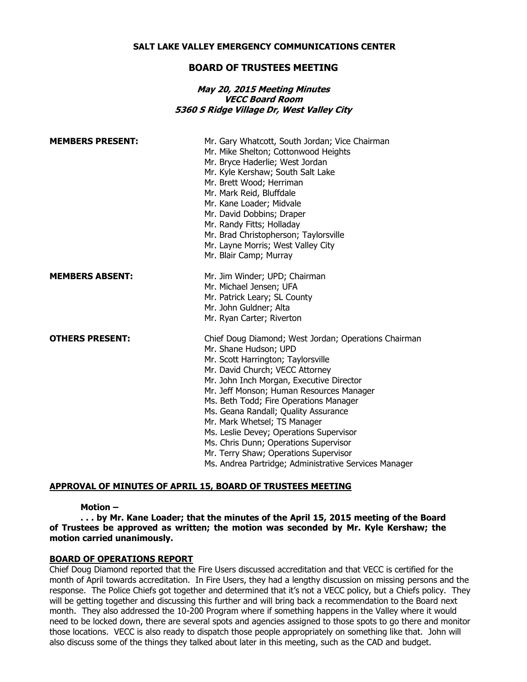#### **SALT LAKE VALLEY EMERGENCY COMMUNICATIONS CENTER**

## **BOARD OF TRUSTEES MEETING**

## **May 20, 2015 Meeting Minutes VECC Board Room 5360 S Ridge Village Dr, West Valley City**

| <b>MEMBERS PRESENT:</b> | Mr. Gary Whatcott, South Jordan; Vice Chairman<br>Mr. Mike Shelton; Cottonwood Heights<br>Mr. Bryce Haderlie; West Jordan<br>Mr. Kyle Kershaw; South Salt Lake<br>Mr. Brett Wood; Herriman<br>Mr. Mark Reid, Bluffdale<br>Mr. Kane Loader; Midvale<br>Mr. David Dobbins; Draper<br>Mr. Randy Fitts; Holladay<br>Mr. Brad Christopherson; Taylorsville<br>Mr. Layne Morris; West Valley City<br>Mr. Blair Camp; Murray                                                                                                                                  |
|-------------------------|--------------------------------------------------------------------------------------------------------------------------------------------------------------------------------------------------------------------------------------------------------------------------------------------------------------------------------------------------------------------------------------------------------------------------------------------------------------------------------------------------------------------------------------------------------|
| <b>MEMBERS ABSENT:</b>  | Mr. Jim Winder; UPD; Chairman<br>Mr. Michael Jensen; UFA<br>Mr. Patrick Leary; SL County<br>Mr. John Guldner; Alta<br>Mr. Ryan Carter; Riverton                                                                                                                                                                                                                                                                                                                                                                                                        |
| <b>OTHERS PRESENT:</b>  | Chief Doug Diamond; West Jordan; Operations Chairman<br>Mr. Shane Hudson; UPD<br>Mr. Scott Harrington; Taylorsville<br>Mr. David Church; VECC Attorney<br>Mr. John Inch Morgan, Executive Director<br>Mr. Jeff Monson; Human Resources Manager<br>Ms. Beth Todd; Fire Operations Manager<br>Ms. Geana Randall; Quality Assurance<br>Mr. Mark Whetsel; TS Manager<br>Ms. Leslie Devey; Operations Supervisor<br>Ms. Chris Dunn; Operations Supervisor<br>Mr. Terry Shaw; Operations Supervisor<br>Ms. Andrea Partridge; Administrative Services Manager |

## **APPROVAL OF MINUTES OF APRIL 15, BOARD OF TRUSTEES MEETING**

## **Motion –**

**. . . by Mr. Kane Loader; that the minutes of the April 15, 2015 meeting of the Board of Trustees be approved as written; the motion was seconded by Mr. Kyle Kershaw; the motion carried unanimously.**

#### **BOARD OF OPERATIONS REPORT**

Chief Doug Diamond reported that the Fire Users discussed accreditation and that VECC is certified for the month of April towards accreditation. In Fire Users, they had a lengthy discussion on missing persons and the response. The Police Chiefs got together and determined that it's not a VECC policy, but a Chiefs policy. They will be getting together and discussing this further and will bring back a recommendation to the Board next month. They also addressed the 10-200 Program where if something happens in the Valley where it would need to be locked down, there are several spots and agencies assigned to those spots to go there and monitor those locations. VECC is also ready to dispatch those people appropriately on something like that. John will also discuss some of the things they talked about later in this meeting, such as the CAD and budget.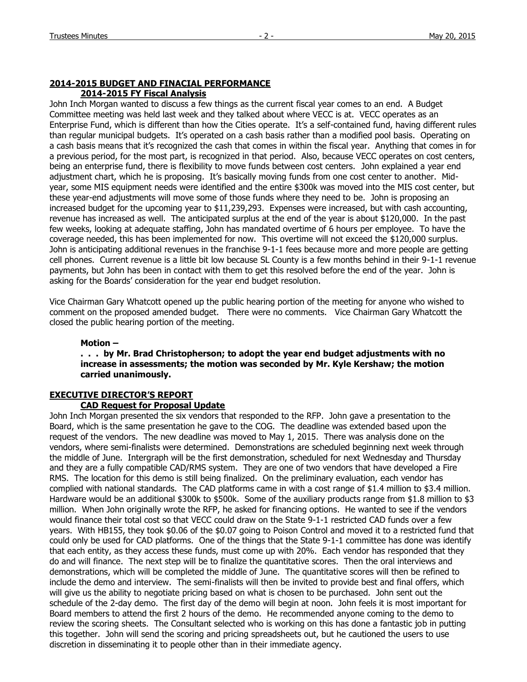#### **2014-2015 BUDGET AND FINACIAL PERFORMANCE 2014-2015 FY Fiscal Analysis**

John Inch Morgan wanted to discuss a few things as the current fiscal year comes to an end. A Budget Committee meeting was held last week and they talked about where VECC is at. VECC operates as an Enterprise Fund, which is different than how the Cities operate. It's a self-contained fund, having different rules than regular municipal budgets. It's operated on a cash basis rather than a modified pool basis. Operating on a cash basis means that it's recognized the cash that comes in within the fiscal year. Anything that comes in for a previous period, for the most part, is recognized in that period. Also, because VECC operates on cost centers, being an enterprise fund, there is flexibility to move funds between cost centers. John explained a year end adjustment chart, which he is proposing. It's basically moving funds from one cost center to another. Midyear, some MIS equipment needs were identified and the entire \$300k was moved into the MIS cost center, but these year-end adjustments will move some of those funds where they need to be. John is proposing an increased budget for the upcoming year to \$11,239,293. Expenses were increased, but with cash accounting, revenue has increased as well. The anticipated surplus at the end of the year is about \$120,000. In the past few weeks, looking at adequate staffing, John has mandated overtime of 6 hours per employee. To have the coverage needed, this has been implemented for now. This overtime will not exceed the \$120,000 surplus. John is anticipating additional revenues in the franchise 9-1-1 fees because more and more people are getting cell phones. Current revenue is a little bit low because SL County is a few months behind in their 9-1-1 revenue payments, but John has been in contact with them to get this resolved before the end of the year. John is asking for the Boards' consideration for the year end budget resolution.

Vice Chairman Gary Whatcott opened up the public hearing portion of the meeting for anyone who wished to comment on the proposed amended budget. There were no comments. Vice Chairman Gary Whatcott the closed the public hearing portion of the meeting.

#### **Motion –**

## **. . . by Mr. Brad Christopherson; to adopt the year end budget adjustments with no increase in assessments; the motion was seconded by Mr. Kyle Kershaw; the motion carried unanimously.**

## **EXECUTIVE DIRECTOR'S REPORT**

# **CAD Request for Proposal Update**

John Inch Morgan presented the six vendors that responded to the RFP. John gave a presentation to the Board, which is the same presentation he gave to the COG. The deadline was extended based upon the request of the vendors. The new deadline was moved to May 1, 2015. There was analysis done on the vendors, where semi-finalists were determined. Demonstrations are scheduled beginning next week through the middle of June. Intergraph will be the first demonstration, scheduled for next Wednesday and Thursday and they are a fully compatible CAD/RMS system. They are one of two vendors that have developed a Fire RMS. The location for this demo is still being finalized. On the preliminary evaluation, each vendor has complied with national standards. The CAD platforms came in with a cost range of \$1.4 million to \$3.4 million. Hardware would be an additional \$300k to \$500k. Some of the auxiliary products range from \$1.8 million to \$3 million. When John originally wrote the RFP, he asked for financing options. He wanted to see if the vendors would finance their total cost so that VECC could draw on the State 9-1-1 restricted CAD funds over a few years. With HB155, they took \$0.06 of the \$0.07 going to Poison Control and moved it to a restricted fund that could only be used for CAD platforms. One of the things that the State 9-1-1 committee has done was identify that each entity, as they access these funds, must come up with 20%. Each vendor has responded that they do and will finance. The next step will be to finalize the quantitative scores. Then the oral interviews and demonstrations, which will be completed the middle of June. The quantitative scores will then be refined to include the demo and interview. The semi-finalists will then be invited to provide best and final offers, which will give us the ability to negotiate pricing based on what is chosen to be purchased. John sent out the schedule of the 2-day demo. The first day of the demo will begin at noon. John feels it is most important for Board members to attend the first 2 hours of the demo. He recommended anyone coming to the demo to review the scoring sheets. The Consultant selected who is working on this has done a fantastic job in putting this together. John will send the scoring and pricing spreadsheets out, but he cautioned the users to use discretion in disseminating it to people other than in their immediate agency.